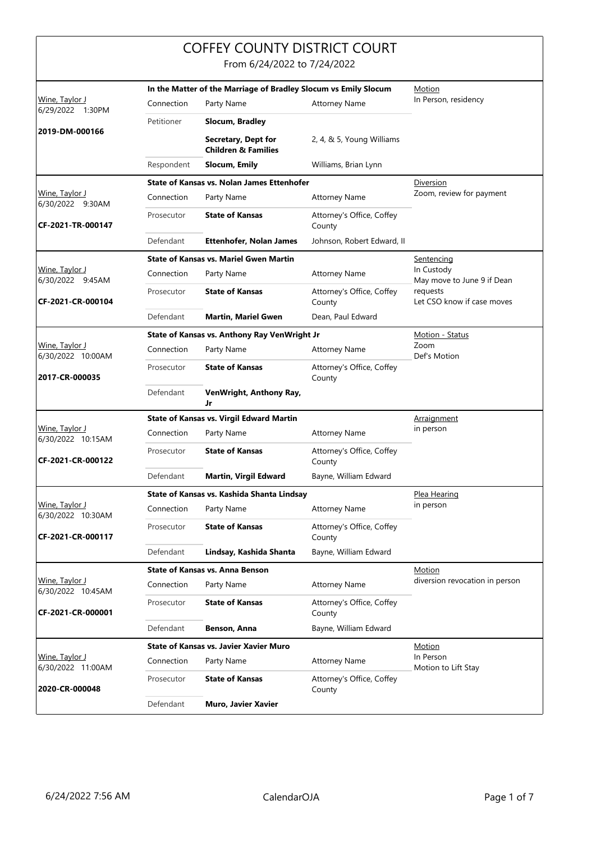|                                            |                                                                 | <b>COFFEY COUNTY DISTRICT COURT</b>                   |                                     |                                          |
|--------------------------------------------|-----------------------------------------------------------------|-------------------------------------------------------|-------------------------------------|------------------------------------------|
|                                            |                                                                 | From 6/24/2022 to 7/24/2022                           |                                     |                                          |
|                                            | In the Matter of the Marriage of Bradley Slocum vs Emily Slocum |                                                       |                                     | Motion                                   |
| Wine, Taylor J<br>6/29/2022 1:30PM         | Connection                                                      | Party Name                                            | <b>Attorney Name</b>                | In Person, residency                     |
|                                            | Petitioner                                                      | Slocum, Bradley                                       |                                     |                                          |
| 2019-DM-000166                             |                                                                 | Secretary, Dept for<br><b>Children &amp; Families</b> | 2, 4, & 5, Young Williams           |                                          |
|                                            | Respondent                                                      | Slocum, Emily                                         | Williams, Brian Lynn                |                                          |
|                                            |                                                                 | State of Kansas vs. Nolan James Ettenhofer            |                                     | Diversion<br>Zoom, review for payment    |
| Wine, Taylor J<br>6/30/2022 9:30AM         | Connection                                                      | Party Name                                            | <b>Attorney Name</b>                |                                          |
| CF-2021-TR-000147                          | Prosecutor                                                      | <b>State of Kansas</b>                                | Attorney's Office, Coffey<br>County |                                          |
|                                            | Defendant                                                       | Ettenhofer, Nolan James                               | Johnson, Robert Edward, II          |                                          |
|                                            |                                                                 | <b>State of Kansas vs. Mariel Gwen Martin</b>         |                                     | Sentencing                               |
| Wine, Taylor J<br>6/30/2022 9:45AM         | Connection                                                      | Party Name                                            | <b>Attorney Name</b>                | In Custody<br>May move to June 9 if Dean |
| CF-2021-CR-000104                          | Prosecutor                                                      | <b>State of Kansas</b>                                | Attorney's Office, Coffey<br>County | requests<br>Let CSO know if case moves   |
|                                            | Defendant                                                       | <b>Martin, Mariel Gwen</b>                            | Dean, Paul Edward                   |                                          |
|                                            |                                                                 | State of Kansas vs. Anthony Ray VenWright Jr          | Motion - Status                     |                                          |
| <u>Wine, Taylor J</u><br>6/30/2022 10:00AM | Connection                                                      | Party Name                                            | <b>Attorney Name</b>                | Zoom<br>Def's Motion                     |
| 2017-CR-000035                             | Prosecutor                                                      | <b>State of Kansas</b>                                | Attorney's Office, Coffey<br>County |                                          |
|                                            | Defendant                                                       | VenWright, Anthony Ray,<br>Jr                         |                                     |                                          |
|                                            |                                                                 | <b>State of Kansas vs. Virgil Edward Martin</b>       | Arraignment                         |                                          |
| Wine, Taylor J<br>6/30/2022 10:15AM        | Connection                                                      | Party Name                                            | <b>Attorney Name</b>                | in person                                |
| CF-2021-CR-000122                          | Prosecutor                                                      | <b>State of Kansas</b>                                | Attorney's Office, Coffey<br>County |                                          |
|                                            | Defendant                                                       | <b>Martin, Virgil Edward</b>                          | Bayne, William Edward               |                                          |
|                                            |                                                                 | State of Kansas vs. Kashida Shanta Lindsay            |                                     | Plea Hearing                             |
| Wine, Taylor J<br>6/30/2022 10:30AM        | Connection                                                      | Party Name                                            | <b>Attorney Name</b>                | in person                                |
| CF-2021-CR-000117                          | Prosecutor                                                      | <b>State of Kansas</b>                                | Attorney's Office, Coffey<br>County |                                          |
|                                            | Defendant                                                       | Lindsay, Kashida Shanta                               | Bayne, William Edward               |                                          |
|                                            |                                                                 | <b>State of Kansas vs. Anna Benson</b>                | <b>Motion</b>                       |                                          |
| Wine, Taylor J<br>6/30/2022 10:45AM        | Connection                                                      | Party Name                                            | <b>Attorney Name</b>                | diversion revocation in person           |
| CF-2021-CR-000001                          | Prosecutor                                                      | <b>State of Kansas</b>                                | Attorney's Office, Coffey<br>County |                                          |
|                                            | Defendant                                                       | Benson, Anna                                          | Bayne, William Edward               |                                          |
|                                            |                                                                 | State of Kansas vs. Javier Xavier Muro                |                                     | Motion                                   |
| Wine, Taylor J<br>6/30/2022 11:00AM        | Connection                                                      | Party Name                                            | <b>Attorney Name</b>                | In Person<br>Motion to Lift Stay         |
| 2020-CR-000048                             | Prosecutor                                                      | <b>State of Kansas</b>                                | Attorney's Office, Coffey<br>County |                                          |
|                                            | Defendant                                                       | Muro, Javier Xavier                                   |                                     |                                          |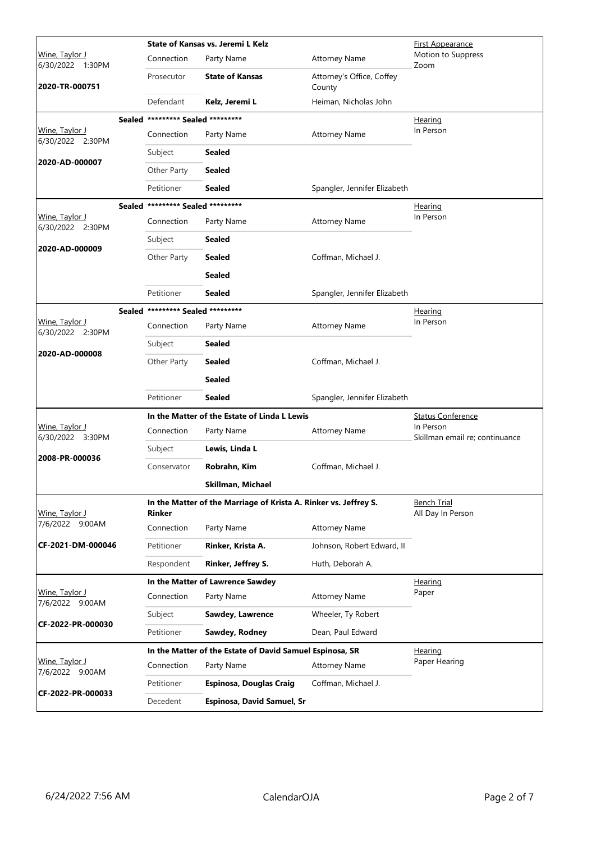|                                           |                                   | State of Kansas vs. Jeremi L Kelz                                | <b>First Appearance</b>             |                                             |
|-------------------------------------------|-----------------------------------|------------------------------------------------------------------|-------------------------------------|---------------------------------------------|
| Wine, Taylor J<br>6/30/2022 1:30PM        | Connection                        | Party Name                                                       | <b>Attorney Name</b>                | Motion to Suppress<br>Zoom                  |
| 2020-TR-000751                            | Prosecutor                        | <b>State of Kansas</b>                                           | Attorney's Office, Coffey<br>County |                                             |
|                                           | Defendant                         | Kelz, Jeremi L                                                   | Heiman, Nicholas John               |                                             |
|                                           | Sealed ********* Sealed ********* |                                                                  |                                     | Hearing                                     |
| <u>Wine, Taylor J</u><br>6/30/2022 2:30PM | Connection                        | Party Name                                                       | <b>Attorney Name</b>                | In Person                                   |
| 2020-AD-000007                            | Subject                           | <b>Sealed</b>                                                    |                                     |                                             |
|                                           | Other Party                       | <b>Sealed</b>                                                    |                                     |                                             |
|                                           | Petitioner                        | Sealed                                                           | Spangler, Jennifer Elizabeth        |                                             |
|                                           | Sealed ********* Sealed ********* |                                                                  |                                     | <u>Hearing</u>                              |
| <u>Wine, Taylor J</u><br>6/30/2022 2:30PM | Connection                        | Party Name                                                       | <b>Attorney Name</b>                | In Person                                   |
| 2020-AD-000009                            | Subject                           | Sealed                                                           |                                     |                                             |
|                                           | Other Party                       | <b>Sealed</b>                                                    | Coffman, Michael J.                 |                                             |
|                                           |                                   | Sealed                                                           |                                     |                                             |
|                                           | Petitioner                        | Sealed                                                           | Spangler, Jennifer Elizabeth        |                                             |
|                                           | Sealed ********* Sealed ********* |                                                                  |                                     | Hearing                                     |
| <u>Wine, Taylor J</u><br>6/30/2022 2:30PM | Connection                        | Party Name                                                       | <b>Attorney Name</b>                | In Person                                   |
| 2020-AD-000008                            | Subject                           | Sealed                                                           |                                     |                                             |
|                                           | Other Party                       | Sealed                                                           | Coffman, Michael J.                 |                                             |
|                                           |                                   | Sealed                                                           |                                     |                                             |
|                                           | Petitioner                        | Sealed                                                           | Spangler, Jennifer Elizabeth        |                                             |
|                                           |                                   | In the Matter of the Estate of Linda L Lewis                     |                                     | <b>Status Conference</b>                    |
| Wine, Taylor J<br>6/30/2022 3:30PM        | Connection                        | Party Name                                                       | <b>Attorney Name</b>                | In Person<br>Skillman email re; continuance |
| 2008-PR-000036                            | Subject                           | Lewis, Linda L                                                   |                                     |                                             |
|                                           | Conservator                       | Robrahn, Kim                                                     | Coffman, Michael J.                 |                                             |
|                                           |                                   | Skillman, Michael                                                |                                     |                                             |
| Wine, Taylor J                            | Rinker                            | In the Matter of the Marriage of Krista A. Rinker vs. Jeffrey S. |                                     | <b>Bench Trial</b><br>All Day In Person     |
| 7/6/2022 9:00AM                           | Connection                        | Party Name                                                       | <b>Attorney Name</b>                |                                             |
| CF-2021-DM-000046                         | Petitioner                        | Rinker, Krista A.                                                | Johnson, Robert Edward, II          |                                             |
|                                           | Respondent                        | <b>Rinker, Jeffrey S.</b>                                        | Huth, Deborah A.                    |                                             |
|                                           |                                   | In the Matter of Lawrence Sawdey                                 |                                     | Hearing                                     |
| Wine, Taylor J<br>7/6/2022 9:00AM         | Connection                        | Party Name                                                       | <b>Attorney Name</b>                | Paper                                       |
| CF-2022-PR-000030                         | Subject                           | Sawdey, Lawrence                                                 | Wheeler, Ty Robert                  |                                             |
|                                           | Petitioner                        | Sawdey, Rodney                                                   | Dean, Paul Edward                   |                                             |
|                                           |                                   | In the Matter of the Estate of David Samuel Espinosa, SR         |                                     | Hearing                                     |
| Wine, Taylor J<br>7/6/2022 9:00AM         | Connection                        | Party Name                                                       | <b>Attorney Name</b>                | Paper Hearing                               |
| CF-2022-PR-000033                         | Petitioner                        | <b>Espinosa, Douglas Craig</b>                                   | Coffman, Michael J.                 |                                             |
|                                           | Decedent                          | Espinosa, David Samuel, Sr                                       |                                     |                                             |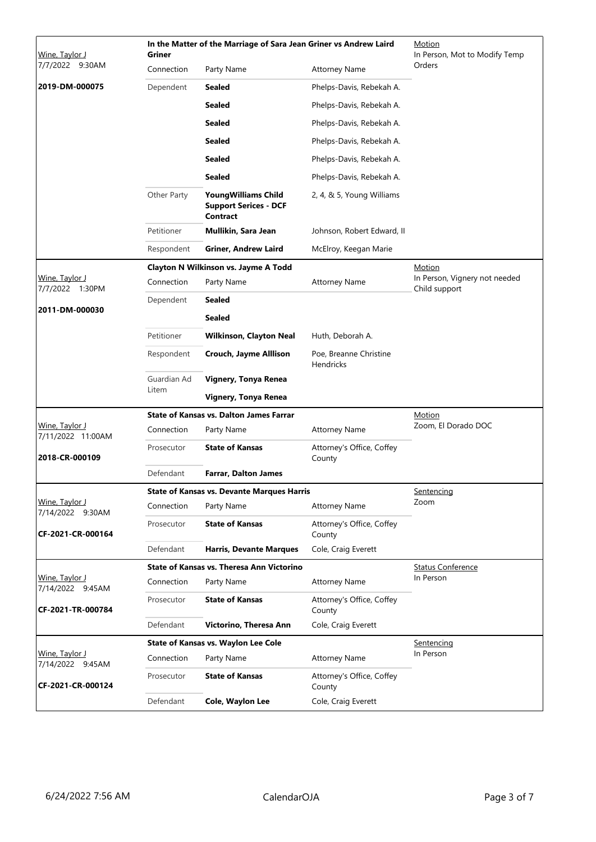| Wine, Taylor J                       | <b>Griner</b>        | In the Matter of the Marriage of Sara Jean Griner vs Andrew Laird             |                                            | Motion<br>In Person, Mot to Modify Temp        |
|--------------------------------------|----------------------|-------------------------------------------------------------------------------|--------------------------------------------|------------------------------------------------|
| 7/7/2022 9:30AM                      | Connection           | Party Name                                                                    | <b>Attorney Name</b>                       | Orders                                         |
| 2019-DM-000075                       | Dependent            | <b>Sealed</b>                                                                 | Phelps-Davis, Rebekah A.                   |                                                |
|                                      |                      | <b>Sealed</b>                                                                 | Phelps-Davis, Rebekah A.                   |                                                |
|                                      |                      | <b>Sealed</b>                                                                 | Phelps-Davis, Rebekah A.                   |                                                |
|                                      |                      | <b>Sealed</b>                                                                 | Phelps-Davis, Rebekah A.                   |                                                |
|                                      |                      | <b>Sealed</b>                                                                 | Phelps-Davis, Rebekah A.                   |                                                |
|                                      |                      | <b>Sealed</b>                                                                 | Phelps-Davis, Rebekah A.                   |                                                |
|                                      | Other Party          | <b>YoungWilliams Child</b><br><b>Support Serices - DCF</b><br><b>Contract</b> | 2, 4, & 5, Young Williams                  |                                                |
|                                      | Petitioner           | Mullikin, Sara Jean                                                           | Johnson, Robert Edward, II                 |                                                |
|                                      | Respondent           | <b>Griner, Andrew Laird</b>                                                   | McElroy, Keegan Marie                      |                                                |
|                                      |                      | Clayton N Wilkinson vs. Jayme A Todd                                          |                                            | Motion                                         |
| Wine, Taylor J<br>7/7/2022<br>1:30PM | Connection           | Party Name                                                                    | <b>Attorney Name</b>                       | In Person, Vignery not needed<br>Child support |
| 2011-DM-000030                       | Dependent            | <b>Sealed</b>                                                                 |                                            |                                                |
|                                      |                      | <b>Sealed</b>                                                                 |                                            |                                                |
|                                      | Petitioner           | <b>Wilkinson, Clayton Neal</b>                                                | Huth, Deborah A.                           |                                                |
|                                      | Respondent           | Crouch, Jayme Alllison                                                        | Poe, Breanne Christine<br><b>Hendricks</b> |                                                |
|                                      | Guardian Ad<br>Litem | Vignery, Tonya Renea                                                          |                                            |                                                |
|                                      |                      | Vignery, Tonya Renea                                                          |                                            |                                                |
| Wine, Taylor J                       |                      | <b>State of Kansas vs. Dalton James Farrar</b>                                |                                            | <u>Motion</u><br>Zoom, El Dorado DOC           |
| 7/11/2022 11:00AM                    | Connection           | Party Name                                                                    | <b>Attorney Name</b>                       |                                                |
| 2018-CR-000109                       | Prosecutor           | <b>State of Kansas</b>                                                        | Attorney's Office, Coffey<br>County        |                                                |
|                                      | Defendant            | <b>Farrar, Dalton James</b>                                                   |                                            |                                                |
|                                      |                      | <b>State of Kansas vs. Devante Marques Harris</b>                             |                                            | Sentencing                                     |
| Wine, Taylor J<br>7/14/2022 9:30AM   | Connection           | Party Name                                                                    | <b>Attorney Name</b>                       | Zoom                                           |
| CF-2021-CR-000164                    | Prosecutor           | <b>State of Kansas</b>                                                        | Attorney's Office, Coffey<br>County        |                                                |
|                                      | Defendant            | <b>Harris, Devante Marques</b>                                                | Cole, Craig Everett                        |                                                |
|                                      |                      | State of Kansas vs. Theresa Ann Victorino                                     |                                            | <b>Status Conference</b><br>In Person          |
| Wine, Taylor J<br>7/14/2022 9:45AM   | Connection           | Party Name                                                                    | <b>Attorney Name</b>                       |                                                |
| CF-2021-TR-000784                    | Prosecutor           | <b>State of Kansas</b>                                                        | Attorney's Office, Coffey<br>County        |                                                |
|                                      | Defendant            | Victorino, Theresa Ann                                                        | Cole, Craig Everett                        |                                                |
| Wine, Taylor J                       |                      | State of Kansas vs. Waylon Lee Cole                                           |                                            | Sentencing<br>In Person                        |
| 7/14/2022 9:45AM                     | Connection           | Party Name                                                                    | <b>Attorney Name</b>                       |                                                |
| CF-2021-CR-000124                    | Prosecutor           | <b>State of Kansas</b>                                                        | Attorney's Office, Coffey<br>County        |                                                |
|                                      | Defendant            | Cole, Waylon Lee                                                              | Cole, Craig Everett                        |                                                |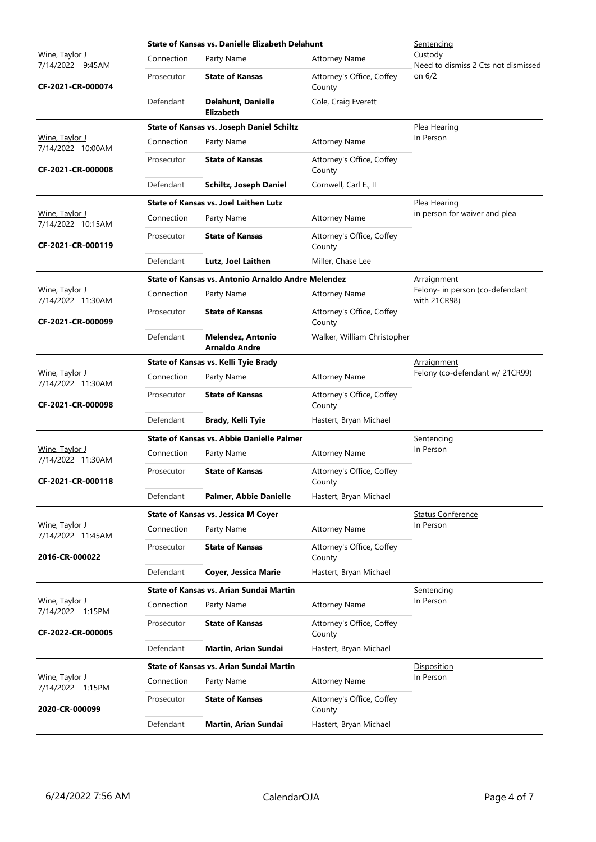|                                                         |            | State of Kansas vs. Danielle Elizabeth Delahunt<br>Sentencing |                                     |                                                 |
|---------------------------------------------------------|------------|---------------------------------------------------------------|-------------------------------------|-------------------------------------------------|
| Wine, Taylor J<br>7/14/2022 9:45AM<br>CF-2021-CR-000074 | Connection | Party Name                                                    | <b>Attorney Name</b>                | Custody<br>Need to dismiss 2 Cts not dismissed  |
|                                                         | Prosecutor | <b>State of Kansas</b>                                        | Attorney's Office, Coffey<br>County | on 6/2                                          |
|                                                         | Defendant  | <b>Delahunt, Danielle</b><br>Elizabeth                        | Cole, Craig Everett                 |                                                 |
|                                                         |            | <b>State of Kansas vs. Joseph Daniel Schiltz</b>              |                                     | Plea Hearing                                    |
| Wine, Taylor J<br>7/14/2022 10:00AM                     | Connection | Party Name                                                    | <b>Attorney Name</b>                | In Person                                       |
| CF-2021-CR-000008                                       | Prosecutor | <b>State of Kansas</b>                                        | Attorney's Office, Coffey<br>County |                                                 |
|                                                         | Defendant  | Schiltz, Joseph Daniel                                        | Cornwell, Carl E., II               |                                                 |
|                                                         |            | <b>State of Kansas vs. Joel Laithen Lutz</b>                  |                                     | Plea Hearing                                    |
| <u> Wine, Taylor J</u><br>7/14/2022 10:15AM             | Connection | Party Name                                                    | <b>Attorney Name</b>                | in person for waiver and plea                   |
| CF-2021-CR-000119                                       | Prosecutor | <b>State of Kansas</b>                                        | Attorney's Office, Coffey<br>County |                                                 |
|                                                         | Defendant  | Lutz, Joel Laithen                                            | Miller, Chase Lee                   |                                                 |
|                                                         |            | State of Kansas vs. Antonio Arnaldo Andre Melendez            |                                     | <b>Arraignment</b>                              |
| Wine, Taylor J<br>7/14/2022 11:30AM                     | Connection | Party Name                                                    | <b>Attorney Name</b>                | Felony- in person (co-defendant<br>with 21CR98) |
| CF-2021-CR-000099                                       | Prosecutor | <b>State of Kansas</b>                                        | Attorney's Office, Coffey<br>County |                                                 |
|                                                         | Defendant  | <b>Melendez, Antonio</b><br><b>Arnaldo Andre</b>              | Walker, William Christopher         |                                                 |
|                                                         |            | State of Kansas vs. Kelli Tyie Brady                          | <u>Arraignment</u>                  |                                                 |
| Wine, Taylor J<br>7/14/2022 11:30AM                     | Connection | Party Name                                                    | <b>Attorney Name</b>                | Felony (co-defendant w/ 21CR99)                 |
| CF-2021-CR-000098                                       | Prosecutor | <b>State of Kansas</b>                                        | Attorney's Office, Coffey<br>County |                                                 |
|                                                         | Defendant  | Brady, Kelli Tyie                                             | Hastert, Bryan Michael              |                                                 |
|                                                         |            | <b>State of Kansas vs. Abbie Danielle Palmer</b>              |                                     | Sentencing                                      |
| Wine, Taylor J<br>7/14/2022 11:30AM                     | Connection | Party Name                                                    | <b>Attorney Name</b>                | In Person                                       |
| CF-2021-CR-000118                                       | Prosecutor | <b>State of Kansas</b>                                        | Attorney's Office, Coffey<br>County |                                                 |
|                                                         | Defendant  | <b>Palmer, Abbie Danielle</b>                                 | Hastert, Bryan Michael              |                                                 |
|                                                         |            | <b>State of Kansas vs. Jessica M Coyer</b>                    |                                     | <b>Status Conference</b>                        |
| <u>Wine, Taylor J</u><br>7/14/2022 11:45AM              | Connection | Party Name                                                    | <b>Attorney Name</b>                | In Person                                       |
| 2016-CR-000022                                          | Prosecutor | <b>State of Kansas</b>                                        | Attorney's Office, Coffey<br>County |                                                 |
|                                                         | Defendant  | <b>Coyer, Jessica Marie</b>                                   | Hastert, Bryan Michael              |                                                 |
|                                                         |            | State of Kansas vs. Arian Sundai Martin                       | <u>Sentencing</u>                   |                                                 |
| Wine, Taylor J                                          | Connection | Party Name                                                    | <b>Attorney Name</b>                | In Person                                       |
| 7/14/2022 1:15PM<br>CF-2022-CR-000005                   | Prosecutor | <b>State of Kansas</b>                                        | Attorney's Office, Coffey<br>County |                                                 |
|                                                         | Defendant  | Martin, Arian Sundai                                          | Hastert, Bryan Michael              |                                                 |
|                                                         |            | State of Kansas vs. Arian Sundai Martin                       |                                     | Disposition                                     |
| Wine, Taylor J<br>7/14/2022 1:15PM                      | Connection | Party Name                                                    | <b>Attorney Name</b>                | In Person                                       |
| 2020-CR-000099                                          | Prosecutor | <b>State of Kansas</b>                                        | Attorney's Office, Coffey<br>County |                                                 |
|                                                         | Defendant  | Martin, Arian Sundai                                          | Hastert, Bryan Michael              |                                                 |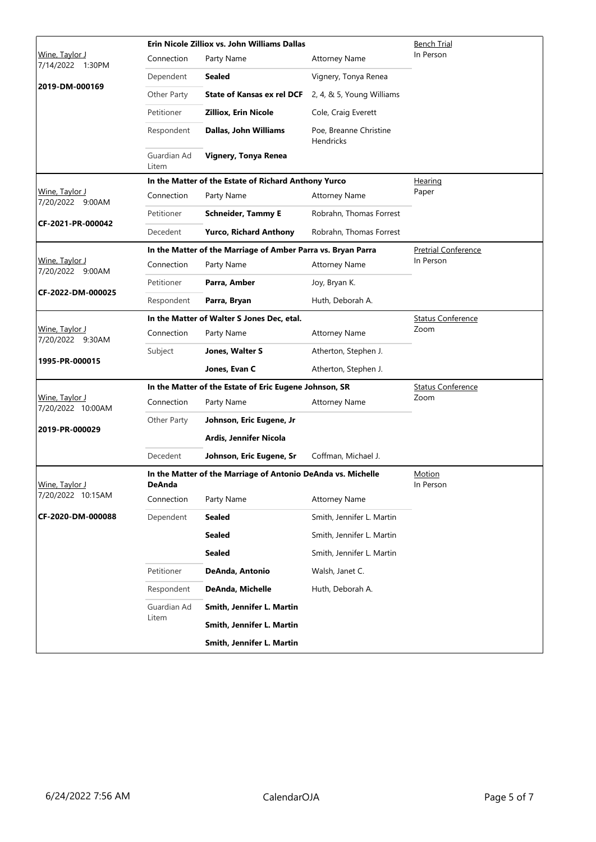|                                     |                                                                        | Erin Nicole Zilliox vs. John Williams Dallas                 | Bench Trial                         |                            |
|-------------------------------------|------------------------------------------------------------------------|--------------------------------------------------------------|-------------------------------------|----------------------------|
| Wine, Taylor J<br>7/14/2022 1:30PM  | Connection                                                             | Party Name                                                   | <b>Attorney Name</b>                | In Person                  |
| 2019-DM-000169                      | Dependent                                                              | Sealed                                                       | Vignery, Tonya Renea                |                            |
|                                     | Other Party                                                            | <b>State of Kansas ex rel DCF</b>                            | 2, 4, & 5, Young Williams           |                            |
|                                     | Petitioner                                                             | <b>Zilliox, Erin Nicole</b>                                  | Cole, Craig Everett                 |                            |
|                                     | Respondent                                                             | Dallas, John Williams                                        | Poe, Breanne Christine<br>Hendricks |                            |
|                                     | Guardian Ad<br>Litem                                                   | Vignery, Tonya Renea                                         |                                     |                            |
|                                     | In the Matter of the Estate of Richard Anthony Yurco                   |                                                              |                                     | Hearing                    |
| Wine, Taylor J<br>7/20/2022 9:00AM  | Connection                                                             | Party Name                                                   | <b>Attorney Name</b>                | Paper                      |
| CF-2021-PR-000042                   | Petitioner                                                             | <b>Schneider, Tammy E</b>                                    | Robrahn, Thomas Forrest             |                            |
|                                     | Decedent                                                               | <b>Yurco, Richard Anthony</b>                                | Robrahn, Thomas Forrest             |                            |
|                                     |                                                                        | In the Matter of the Marriage of Amber Parra vs. Bryan Parra |                                     | <b>Pretrial Conference</b> |
| Wine, Taylor J<br>7/20/2022 9:00AM  | Connection                                                             | Party Name                                                   | <b>Attorney Name</b>                | In Person                  |
|                                     | Petitioner                                                             | Parra, Amber                                                 | Joy, Bryan K.                       |                            |
| CF-2022-DM-000025                   | Respondent                                                             | Parra, Bryan                                                 | Huth, Deborah A.                    |                            |
|                                     | In the Matter of Walter S Jones Dec, etal.                             |                                                              |                                     | <b>Status Conference</b>   |
| Wine, Taylor J<br>7/20/2022 9:30AM  | Connection                                                             | Party Name                                                   | <b>Attorney Name</b>                | Zoom                       |
|                                     | Subject                                                                | Jones, Walter S                                              | Atherton, Stephen J.                |                            |
| 1995-PR-000015                      |                                                                        | Jones, Evan C                                                | Atherton, Stephen J.                |                            |
|                                     |                                                                        | In the Matter of the Estate of Eric Eugene Johnson, SR       | <b>Status Conference</b>            |                            |
| Wine, Taylor J<br>7/20/2022 10:00AM | Connection                                                             | Party Name                                                   | <b>Attorney Name</b>                | Zoom                       |
| 2019-PR-000029                      | Other Party                                                            | Johnson, Eric Eugene, Jr                                     |                                     |                            |
|                                     |                                                                        | Ardis, Jennifer Nicola                                       |                                     |                            |
|                                     | Decedent                                                               | Johnson, Eric Eugene, Sr                                     | Coffman, Michael J.                 |                            |
| Wine, Taylor J                      | In the Matter of the Marriage of Antonio DeAnda vs. Michelle<br>DeAnda |                                                              |                                     | Motion<br>In Person        |
| 7/20/2022 10:15AM                   | Connection                                                             | Party Name                                                   | <b>Attorney Name</b>                |                            |
| CF-2020-DM-000088                   | Dependent                                                              | Sealed                                                       | Smith, Jennifer L. Martin           |                            |
|                                     |                                                                        | <b>Sealed</b>                                                | Smith, Jennifer L. Martin           |                            |
|                                     |                                                                        | <b>Sealed</b>                                                | Smith, Jennifer L. Martin           |                            |
|                                     | Petitioner                                                             | DeAnda, Antonio                                              | Walsh, Janet C.                     |                            |
|                                     | Respondent                                                             | DeAnda, Michelle                                             | Huth, Deborah A.                    |                            |
|                                     | Guardian Ad                                                            | Smith, Jennifer L. Martin                                    |                                     |                            |
|                                     | Litem                                                                  | Smith, Jennifer L. Martin                                    |                                     |                            |
|                                     |                                                                        | Smith, Jennifer L. Martin                                    |                                     |                            |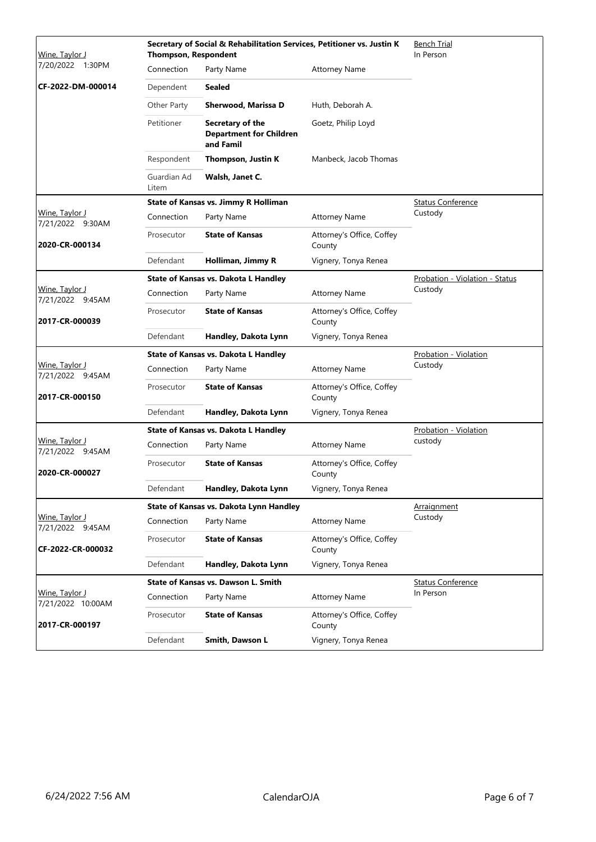| Wine, Taylor J                            | <b>Thompson, Respondent</b> | Secretary of Social & Rehabilitation Services, Petitioner vs. Justin K |                                     | <b>Bench Trial</b><br>In Person |
|-------------------------------------------|-----------------------------|------------------------------------------------------------------------|-------------------------------------|---------------------------------|
| 7/20/2022 1:30PM                          | Connection                  | Party Name                                                             | <b>Attorney Name</b>                |                                 |
| CF-2022-DM-000014                         | Dependent                   | <b>Sealed</b>                                                          |                                     |                                 |
|                                           | Other Party                 | Sherwood, Marissa D                                                    | Huth, Deborah A.                    |                                 |
|                                           | Petitioner                  | Secretary of the<br><b>Department for Children</b><br>and Famil        | Goetz, Philip Loyd                  |                                 |
|                                           | Respondent                  | Thompson, Justin K                                                     | Manbeck, Jacob Thomas               |                                 |
|                                           | Guardian Ad<br>Litem        | Walsh, Janet C.                                                        |                                     |                                 |
|                                           |                             | State of Kansas vs. Jimmy R Holliman                                   |                                     | <b>Status Conference</b>        |
| <u>Wine, Taylor J</u><br>7/21/2022 9:30AM | Connection                  | Party Name                                                             | <b>Attorney Name</b>                | Custody                         |
| 2020-CR-000134                            | Prosecutor                  | <b>State of Kansas</b>                                                 | Attorney's Office, Coffey<br>County |                                 |
|                                           | Defendant                   | Holliman, Jimmy R                                                      | Vignery, Tonya Renea                |                                 |
|                                           |                             | State of Kansas vs. Dakota L Handley                                   |                                     | Probation - Violation - Status  |
| Wine, Taylor J<br>7/21/2022 9:45AM        | Connection                  | Party Name                                                             | <b>Attorney Name</b>                | Custody                         |
| 2017-CR-000039                            | Prosecutor                  | <b>State of Kansas</b>                                                 | Attorney's Office, Coffey<br>County |                                 |
|                                           | Defendant                   | Handley, Dakota Lynn                                                   | Vignery, Tonya Renea                |                                 |
|                                           |                             | State of Kansas vs. Dakota L Handley                                   |                                     | Probation - Violation           |
| Wine, Taylor J<br>7/21/2022 9:45AM        | Connection                  | Party Name                                                             | <b>Attorney Name</b>                | Custody                         |
| 2017-CR-000150                            | Prosecutor                  | <b>State of Kansas</b>                                                 | Attorney's Office, Coffey<br>County |                                 |
|                                           | Defendant                   | Handley, Dakota Lynn                                                   | Vignery, Tonya Renea                |                                 |
|                                           |                             | State of Kansas vs. Dakota L Handley                                   |                                     | Probation - Violation           |
| Wine, Taylor J<br>7/21/2022 9:45AM        | Connection                  | Party Name                                                             | <b>Attorney Name</b>                | custody                         |
| 2020-CR-000027                            | Prosecutor                  | <b>State of Kansas</b>                                                 | Attorney's Office, Coffey<br>County |                                 |
|                                           | Defendant                   | Handley, Dakota Lynn                                                   | Vignery, Tonya Renea                |                                 |
|                                           |                             | State of Kansas vs. Dakota Lynn Handley                                |                                     | Arraignment                     |
| Wine, Taylor J<br>7/21/2022 9:45AM        | Connection                  | Party Name                                                             | <b>Attorney Name</b>                | Custody                         |
| CF-2022-CR-000032                         | Prosecutor                  | <b>State of Kansas</b>                                                 | Attorney's Office, Coffey<br>County |                                 |
|                                           | Defendant                   | Handley, Dakota Lynn                                                   | Vignery, Tonya Renea                |                                 |
|                                           |                             | <b>State of Kansas vs. Dawson L. Smith</b>                             |                                     | <b>Status Conference</b>        |
| Wine, Taylor J<br>7/21/2022 10:00AM       | Connection                  | Party Name                                                             | <b>Attorney Name</b>                | In Person                       |
| 2017-CR-000197                            | Prosecutor                  | <b>State of Kansas</b>                                                 | Attorney's Office, Coffey<br>County |                                 |
|                                           | Defendant                   | Smith, Dawson L                                                        | Vignery, Tonya Renea                |                                 |